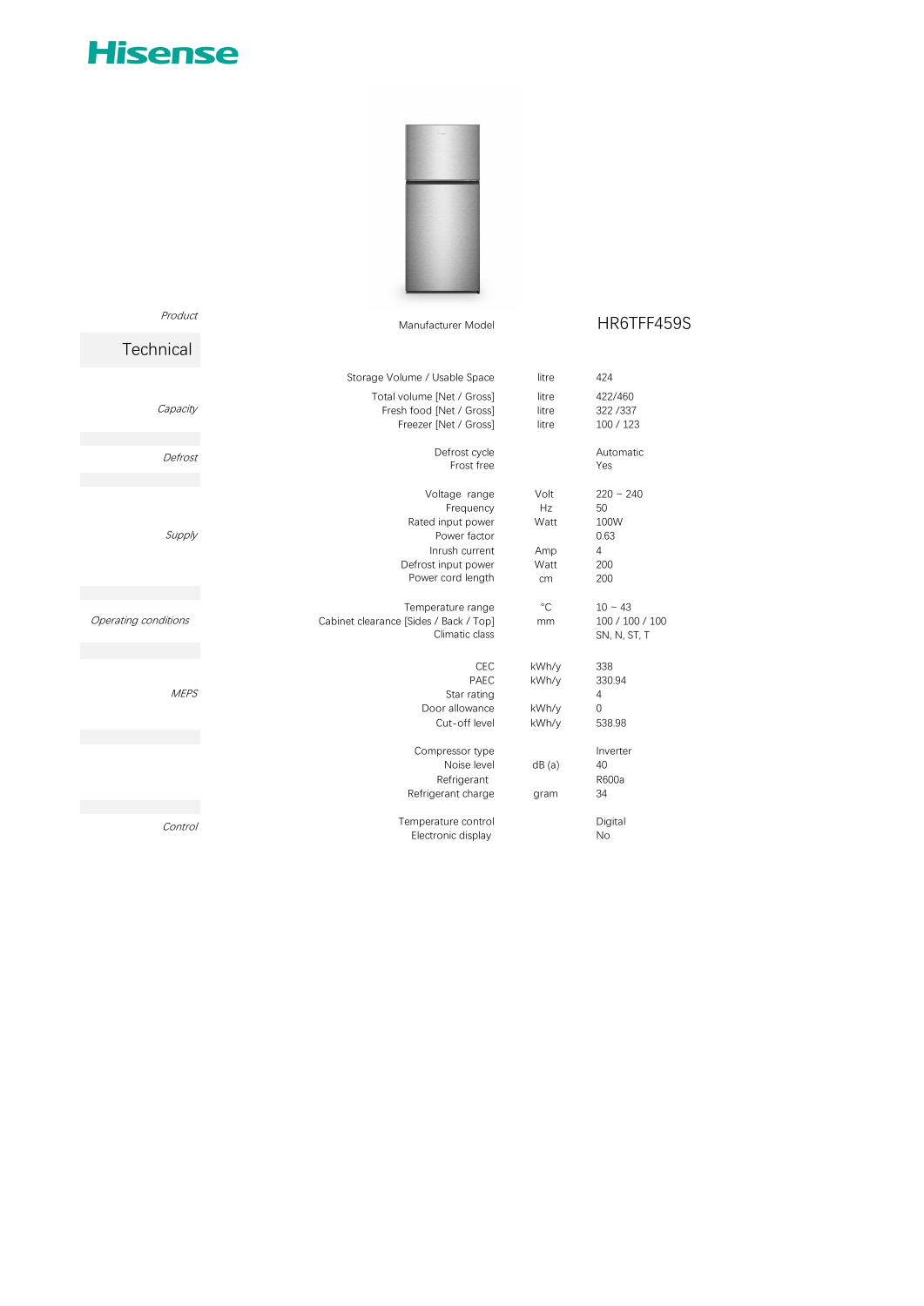## **Hisense**

Product



## Manufacturer Model **HR6TFF459S**

| Technical            |                                                                                                                               |                                         |                                                      |
|----------------------|-------------------------------------------------------------------------------------------------------------------------------|-----------------------------------------|------------------------------------------------------|
|                      | Storage Volume / Usable Space                                                                                                 | litre                                   | 424                                                  |
| Capacity             | Total volume [Net / Gross]<br>Fresh food [Net / Gross]<br>Freezer [Net / Gross]                                               | litre<br>litre<br>litre                 | 422/460<br>322/337<br>100 / 123                      |
| Defrost              | Defrost cycle<br>Frost free                                                                                                   |                                         | Automatic<br>Yes                                     |
| Supply               | Voltage range<br>Frequency<br>Rated input power<br>Power factor<br>Inrush current<br>Defrost input power<br>Power cord length | Volt<br>Hz<br>Watt<br>Amp<br>Watt<br>cm | $220 - 240$<br>50<br>100W<br>0.63<br>4<br>200<br>200 |
|                      |                                                                                                                               |                                         |                                                      |
| Operating conditions | Temperature range<br>Cabinet clearance [Sides / Back / Top]<br>Climatic class                                                 | $^{\circ}$ C<br>mm                      | $10 - 43$<br>100 / 100 / 100<br>SN, N, ST, T         |
| <b>MEPS</b>          | <b>CEC</b><br>PAEC<br>Star rating<br>Door allowance<br>Cut-off level                                                          | kWh/y<br>kWh/y<br>kWh/y<br>kWh/y        | 338<br>330.94<br>4<br>$\Omega$<br>538.98             |
|                      |                                                                                                                               |                                         |                                                      |
|                      | Compressor type<br>Noise level<br>Refrigerant<br>Refrigerant charge                                                           | dB(a)<br>gram                           | Inverter<br>40<br>R600a<br>34                        |
|                      |                                                                                                                               |                                         |                                                      |
| Control              | Temperature control<br>Electronic display                                                                                     |                                         | Digital<br><b>No</b>                                 |